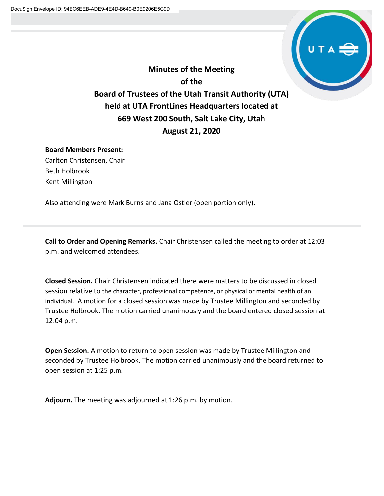

**Minutes of the Meeting of the Board of Trustees of the Utah Transit Authority (UTA) held at UTA FrontLines Headquarters located at 669 West 200 South, Salt Lake City, Utah August 21, 2020**

## **Board Members Present:**

Carlton Christensen, Chair Beth Holbrook Kent Millington

Also attending were Mark Burns and Jana Ostler (open portion only).

**Call to Order and Opening Remarks.** Chair Christensen called the meeting to order at 12:03 p.m. and welcomed attendees.

**Closed Session.** Chair Christensen indicated there were matters to be discussed in closed session relative to the character, professional competence, or physical or mental health of an individual. A motion for a closed session was made by Trustee Millington and seconded by Trustee Holbrook. The motion carried unanimously and the board entered closed session at 12:04 p.m.

**Open Session.** A motion to return to open session was made by Trustee Millington and seconded by Trustee Holbrook. The motion carried unanimously and the board returned to open session at 1:25 p.m.

**Adjourn.** The meeting was adjourned at 1:26 p.m. by motion.